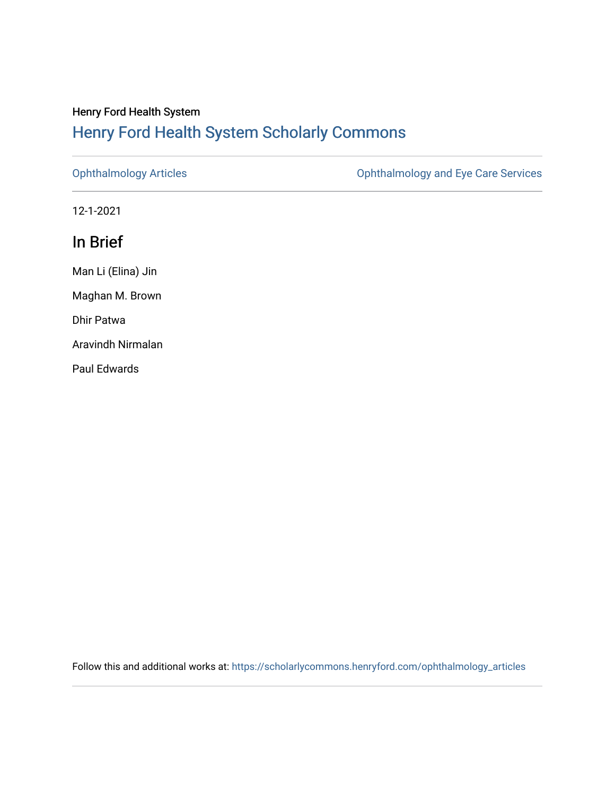## Henry Ford Health System [Henry Ford Health System Scholarly Commons](https://scholarlycommons.henryford.com/)

[Ophthalmology Articles](https://scholarlycommons.henryford.com/ophthalmology_articles) [Ophthalmology and Eye Care Services](https://scholarlycommons.henryford.com/ophthalmology) 

12-1-2021

## In Brief

Man Li (Elina) Jin Maghan M. Brown Dhir Patwa Aravindh Nirmalan Paul Edwards

Follow this and additional works at: [https://scholarlycommons.henryford.com/ophthalmology\\_articles](https://scholarlycommons.henryford.com/ophthalmology_articles?utm_source=scholarlycommons.henryford.com%2Fophthalmology_articles%2F70&utm_medium=PDF&utm_campaign=PDFCoverPages)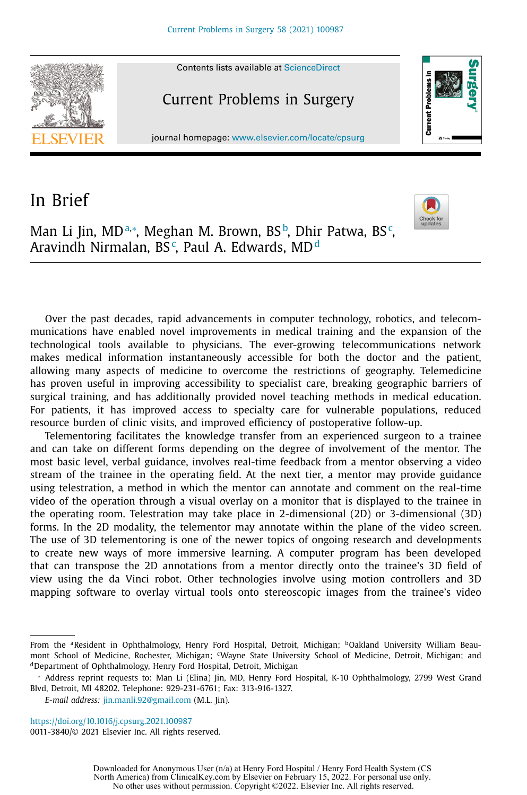

## In Brief



Man Li Jin, MDª,\*, Meghan M. Brown, BS♭, Dhir Patwa, BS¢, Aravindh Nirmalan, BS<sup>c</sup>, Paul A. Edwards, MD<sup>d</sup>

Over the past decades, rapid advancements in computer technology, robotics, and telecommunications have enabled novel improvements in medical training and the expansion of the technological tools available to physicians. The ever-growing telecommunications network makes medical information instantaneously accessible for both the doctor and the patient, allowing many aspects of medicine to overcome the restrictions of geography. Telemedicine has proven useful in improving accessibility to specialist care, breaking geographic barriers of surgical training, and has additionally provided novel teaching methods in medical education. For patients, it has improved access to specialty care for vulnerable populations, reduced resource burden of clinic visits, and improved efficiency of postoperative follow-up.

Telementoring facilitates the knowledge transfer from an experienced surgeon to a trainee and can take on different forms depending on the degree of involvement of the mentor. The most basic level, verbal guidance, involves real-time feedback from a mentor observing a video stream of the trainee in the operating field. At the next tier, a mentor may provide guidance using telestration, a method in which the mentor can annotate and comment on the real-time video of the operation through a visual overlay on a monitor that is displayed to the trainee in the operating room. Telestration may take place in 2-dimensional (2D) or 3-dimensional (3D) forms. In the 2D modality, the telementor may annotate within the plane of the video screen. The use of 3D telementoring is one of the newer topics of ongoing research and developments to create new ways of more immersive learning. A computer program has been developed that can transpose the 2D annotations from a mentor directly onto the trainee's 3D field of view using the da Vinci robot. Other technologies involve using motion controllers and 3D mapping software to overlay virtual tools onto stereoscopic images from the trainee's video

<https://doi.org/10.1016/j.cpsurg.2021.100987> 0011-3840/© 2021 Elsevier Inc. All rights reserved.

From the <sup>a</sup>Resident in Ophthalmology, Henry Ford Hospital, Detroit, Michigan; <sup>b</sup>Oakland University William Beaumont School of Medicine, Rochester, Michigan; <sup>c</sup>Wayne State University School of Medicine, Detroit, Michigan; and dDepartment of Ophthalmology, Henry Ford Hospital, Detroit, Michigan

<sup>∗</sup> Address reprint requests to: Man Li (Elina) Jin, MD, Henry Ford Hospital, K-10 Ophthalmology, 2799 West Grand Blvd, Detroit, MI 48202. Telephone: 929-231-6761; Fax: 313-916-1327.

*E-mail address:* [jin.manli.92@gmail.com](mailto:jin.manli.92@gmail.com) (M.L. Jin).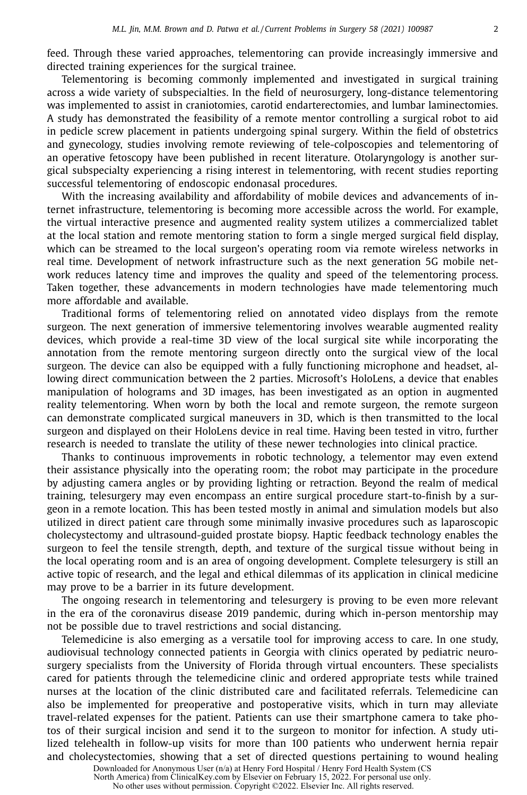feed. Through these varied approaches, telementoring can provide increasingly immersive and directed training experiences for the surgical trainee.

Telementoring is becoming commonly implemented and investigated in surgical training across a wide variety of subspecialties. In the field of neurosurgery, long-distance telementoring was implemented to assist in craniotomies, carotid endarterectomies, and lumbar laminectomies. A study has demonstrated the feasibility of a remote mentor controlling a surgical robot to aid in pedicle screw placement in patients undergoing spinal surgery. Within the field of obstetrics and gynecology, studies involving remote reviewing of tele-colposcopies and telementoring of an operative fetoscopy have been published in recent literature. Otolaryngology is another surgical subspecialty experiencing a rising interest in telementoring, with recent studies reporting successful telementoring of endoscopic endonasal procedures.

With the increasing availability and affordability of mobile devices and advancements of internet infrastructure, telementoring is becoming more accessible across the world. For example, the virtual interactive presence and augmented reality system utilizes a commercialized tablet at the local station and remote mentoring station to form a single merged surgical field display, which can be streamed to the local surgeon's operating room via remote wireless networks in real time. Development of network infrastructure such as the next generation 5G mobile network reduces latency time and improves the quality and speed of the telementoring process. Taken together, these advancements in modern technologies have made telementoring much more affordable and available.

Traditional forms of telementoring relied on annotated video displays from the remote surgeon. The next generation of immersive telementoring involves wearable augmented reality devices, which provide a real-time 3D view of the local surgical site while incorporating the annotation from the remote mentoring surgeon directly onto the surgical view of the local surgeon. The device can also be equipped with a fully functioning microphone and headset, allowing direct communication between the 2 parties. Microsoft's HoloLens, a device that enables manipulation of holograms and 3D images, has been investigated as an option in augmented reality telementoring. When worn by both the local and remote surgeon, the remote surgeon can demonstrate complicated surgical maneuvers in 3D, which is then transmitted to the local surgeon and displayed on their HoloLens device in real time. Having been tested in vitro, further research is needed to translate the utility of these newer technologies into clinical practice.

Thanks to continuous improvements in robotic technology, a telementor may even extend their assistance physically into the operating room; the robot may participate in the procedure by adjusting camera angles or by providing lighting or retraction. Beyond the realm of medical training, telesurgery may even encompass an entire surgical procedure start-to-finish by a surgeon in a remote location. This has been tested mostly in animal and simulation models but also utilized in direct patient care through some minimally invasive procedures such as laparoscopic cholecystectomy and ultrasound-guided prostate biopsy. Haptic feedback technology enables the surgeon to feel the tensile strength, depth, and texture of the surgical tissue without being in the local operating room and is an area of ongoing development. Complete telesurgery is still an active topic of research, and the legal and ethical dilemmas of its application in clinical medicine may prove to be a barrier in its future development.

The ongoing research in telementoring and telesurgery is proving to be even more relevant in the era of the coronavirus disease 2019 pandemic, during which in-person mentorship may not be possible due to travel restrictions and social distancing.

Telemedicine is also emerging as a versatile tool for improving access to care. In one study, audiovisual technology connected patients in Georgia with clinics operated by pediatric neurosurgery specialists from the University of Florida through virtual encounters. These specialists cared for patients through the telemedicine clinic and ordered appropriate tests while trained nurses at the location of the clinic distributed care and facilitated referrals. Telemedicine can also be implemented for preoperative and postoperative visits, which in turn may alleviate travel-related expenses for the patient. Patients can use their smartphone camera to take photos of their surgical incision and send it to the surgeon to monitor for infection. A study utilized telehealth in follow-up visits for more than 100 patients who underwent hernia repair and cholecystectomies, showing that a set of directed questions pertaining to wound healing